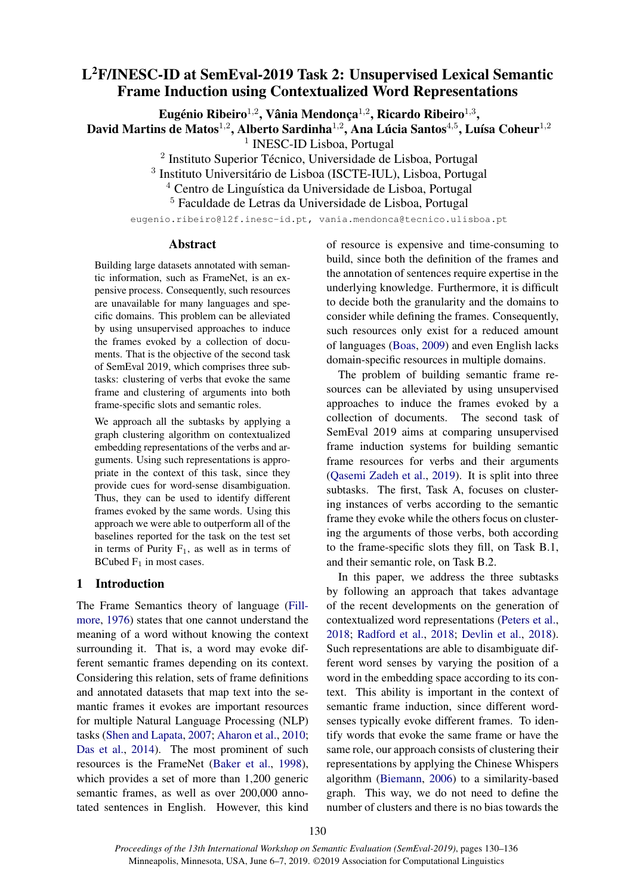# L <sup>2</sup>F/INESC-ID at SemEval-2019 Task 2: Unsupervised Lexical Semantic Frame Induction using Contextualized Word Representations

Eugénio Ribeiro<sup>1,2</sup>, Vânia Mendonça<sup>1,2</sup>, Ricardo Ribeiro<sup>1,3</sup>,

David Martins de Matos $^{1,2}$ , Alberto Sardinha $^{1,2}$ , Ana Lúcia Santos $^{4,5}$ , Luísa Coheur $^{1,2}$ 

<sup>1</sup> INESC-ID Lisboa, Portugal

<sup>2</sup> Instituto Superior Técnico, Universidade de Lisboa, Portugal

<sup>3</sup> Instituto Universitário de Lisboa (ISCTE-IUL), Lisboa, Portugal

<sup>4</sup> Centro de Linguística da Universidade de Lisboa, Portugal

<sup>5</sup> Faculdade de Letras da Universidade de Lisboa, Portugal

eugenio.ribeiro@l2f.inesc-id.pt, vania.mendonca@tecnico.ulisboa.pt

### Abstract

Building large datasets annotated with semantic information, such as FrameNet, is an expensive process. Consequently, such resources are unavailable for many languages and specific domains. This problem can be alleviated by using unsupervised approaches to induce the frames evoked by a collection of documents. That is the objective of the second task of SemEval 2019, which comprises three subtasks: clustering of verbs that evoke the same frame and clustering of arguments into both frame-specific slots and semantic roles.

We approach all the subtasks by applying a graph clustering algorithm on contextualized embedding representations of the verbs and arguments. Using such representations is appropriate in the context of this task, since they provide cues for word-sense disambiguation. Thus, they can be used to identify different frames evoked by the same words. Using this approach we were able to outperform all of the baselines reported for the task on the test set in terms of Purity  $F_1$ , as well as in terms of BCubed  $F_1$  in most cases.

## 1 Introduction

The Frame Semantics theory of language [\(Fill](#page-6-0)[more,](#page-6-0) [1976\)](#page-6-0) states that one cannot understand the meaning of a word without knowing the context surrounding it. That is, a word may evoke different semantic frames depending on its context. Considering this relation, sets of frame definitions and annotated datasets that map text into the semantic frames it evokes are important resources for multiple Natural Language Processing (NLP) tasks [\(Shen and Lapata,](#page-6-1) [2007;](#page-6-1) [Aharon et al.,](#page-6-2) [2010;](#page-6-2) [Das et al.,](#page-6-3) [2014\)](#page-6-3). The most prominent of such resources is the FrameNet [\(Baker et al.,](#page-6-4) [1998\)](#page-6-4), which provides a set of more than 1,200 generic semantic frames, as well as over 200,000 annotated sentences in English. However, this kind of resource is expensive and time-consuming to build, since both the definition of the frames and the annotation of sentences require expertise in the underlying knowledge. Furthermore, it is difficult to decide both the granularity and the domains to consider while defining the frames. Consequently, such resources only exist for a reduced amount of languages [\(Boas,](#page-6-5) [2009\)](#page-6-5) and even English lacks domain-specific resources in multiple domains.

The problem of building semantic frame resources can be alleviated by using unsupervised approaches to induce the frames evoked by a collection of documents. The second task of SemEval 2019 aims at comparing unsupervised frame induction systems for building semantic frame resources for verbs and their arguments [\(Qasemi Zadeh et al.,](#page-6-6) [2019\)](#page-6-6). It is split into three subtasks. The first, Task A, focuses on clustering instances of verbs according to the semantic frame they evoke while the others focus on clustering the arguments of those verbs, both according to the frame-specific slots they fill, on Task B.1, and their semantic role, on Task B.2.

In this paper, we address the three subtasks by following an approach that takes advantage of the recent developments on the generation of contextualized word representations [\(Peters et al.,](#page-6-7) [2018;](#page-6-7) [Radford et al.,](#page-6-8) [2018;](#page-6-8) [Devlin et al.,](#page-6-9) [2018\)](#page-6-9). Such representations are able to disambiguate different word senses by varying the position of a word in the embedding space according to its context. This ability is important in the context of semantic frame induction, since different wordsenses typically evoke different frames. To identify words that evoke the same frame or have the same role, our approach consists of clustering their representations by applying the Chinese Whispers algorithm [\(Biemann,](#page-6-10) [2006\)](#page-6-10) to a similarity-based graph. This way, we do not need to define the number of clusters and there is no bias towards the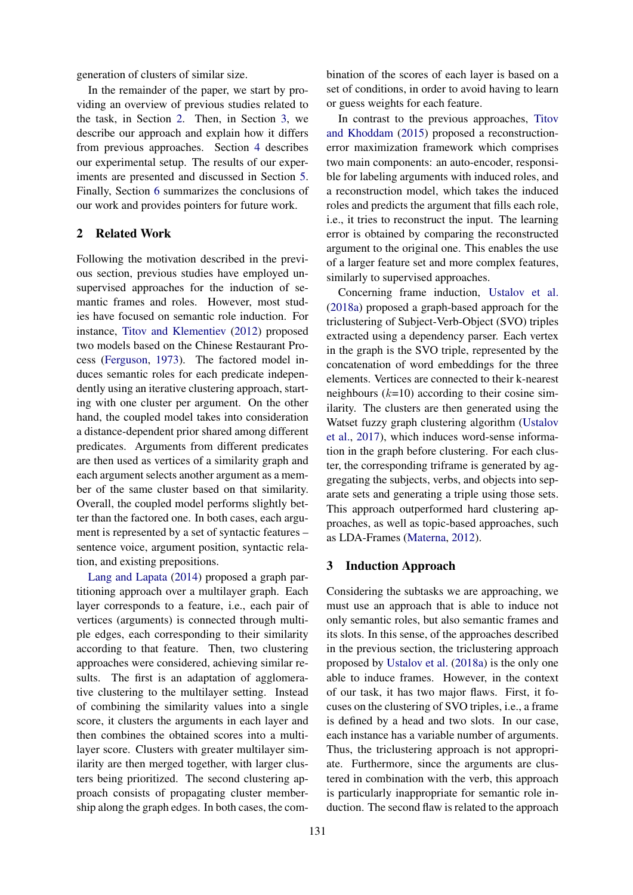generation of clusters of similar size.

In the remainder of the paper, we start by providing an overview of previous studies related to the task, in Section [2.](#page-1-0) Then, in Section [3,](#page-1-1) we describe our approach and explain how it differs from previous approaches. Section [4](#page-3-0) describes our experimental setup. The results of our experiments are presented and discussed in Section [5.](#page-4-0) Finally, Section [6](#page-5-0) summarizes the conclusions of our work and provides pointers for future work.

## <span id="page-1-0"></span>2 Related Work

Following the motivation described in the previous section, previous studies have employed unsupervised approaches for the induction of semantic frames and roles. However, most studies have focused on semantic role induction. For instance, [Titov and Klementiev](#page-6-11) [\(2012\)](#page-6-11) proposed two models based on the Chinese Restaurant Process [\(Ferguson,](#page-6-12) [1973\)](#page-6-12). The factored model induces semantic roles for each predicate independently using an iterative clustering approach, starting with one cluster per argument. On the other hand, the coupled model takes into consideration a distance-dependent prior shared among different predicates. Arguments from different predicates are then used as vertices of a similarity graph and each argument selects another argument as a member of the same cluster based on that similarity. Overall, the coupled model performs slightly better than the factored one. In both cases, each argument is represented by a set of syntactic features – sentence voice, argument position, syntactic relation, and existing prepositions.

[Lang and Lapata](#page-6-13) [\(2014\)](#page-6-13) proposed a graph partitioning approach over a multilayer graph. Each layer corresponds to a feature, i.e., each pair of vertices (arguments) is connected through multiple edges, each corresponding to their similarity according to that feature. Then, two clustering approaches were considered, achieving similar results. The first is an adaptation of agglomerative clustering to the multilayer setting. Instead of combining the similarity values into a single score, it clusters the arguments in each layer and then combines the obtained scores into a multilayer score. Clusters with greater multilayer similarity are then merged together, with larger clusters being prioritized. The second clustering approach consists of propagating cluster membership along the graph edges. In both cases, the combination of the scores of each layer is based on a set of conditions, in order to avoid having to learn or guess weights for each feature.

In contrast to the previous approaches, [Titov](#page-6-14) [and Khoddam](#page-6-14) [\(2015\)](#page-6-14) proposed a reconstructionerror maximization framework which comprises two main components: an auto-encoder, responsible for labeling arguments with induced roles, and a reconstruction model, which takes the induced roles and predicts the argument that fills each role, i.e., it tries to reconstruct the input. The learning error is obtained by comparing the reconstructed argument to the original one. This enables the use of a larger feature set and more complex features, similarly to supervised approaches.

Concerning frame induction, [Ustalov et al.](#page-6-15) [\(2018a\)](#page-6-15) proposed a graph-based approach for the triclustering of Subject-Verb-Object (SVO) triples extracted using a dependency parser. Each vertex in the graph is the SVO triple, represented by the concatenation of word embeddings for the three elements. Vertices are connected to their k-nearest neighbours  $(k=10)$  according to their cosine similarity. The clusters are then generated using the Watset fuzzy graph clustering algorithm [\(Ustalov](#page-6-16) [et al.,](#page-6-16) [2017\)](#page-6-16), which induces word-sense information in the graph before clustering. For each cluster, the corresponding triframe is generated by aggregating the subjects, verbs, and objects into separate sets and generating a triple using those sets. This approach outperformed hard clustering approaches, as well as topic-based approaches, such as LDA-Frames [\(Materna,](#page-6-17) [2012\)](#page-6-17).

## <span id="page-1-1"></span>3 Induction Approach

Considering the subtasks we are approaching, we must use an approach that is able to induce not only semantic roles, but also semantic frames and its slots. In this sense, of the approaches described in the previous section, the triclustering approach proposed by [Ustalov et al.](#page-6-15) [\(2018a\)](#page-6-15) is the only one able to induce frames. However, in the context of our task, it has two major flaws. First, it focuses on the clustering of SVO triples, i.e., a frame is defined by a head and two slots. In our case, each instance has a variable number of arguments. Thus, the triclustering approach is not appropriate. Furthermore, since the arguments are clustered in combination with the verb, this approach is particularly inappropriate for semantic role induction. The second flaw is related to the approach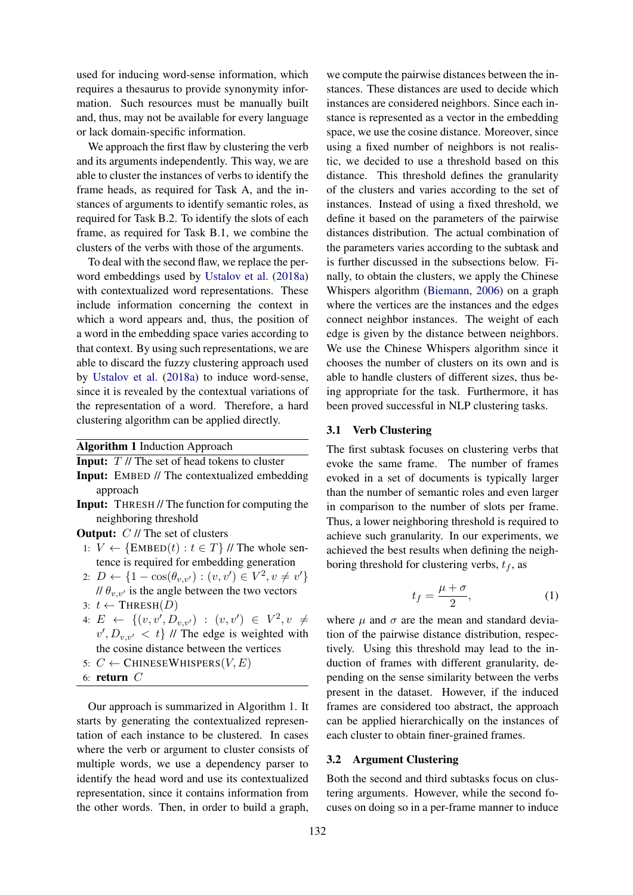used for inducing word-sense information, which requires a thesaurus to provide synonymity information. Such resources must be manually built and, thus, may not be available for every language or lack domain-specific information.

We approach the first flaw by clustering the verb and its arguments independently. This way, we are able to cluster the instances of verbs to identify the frame heads, as required for Task A, and the instances of arguments to identify semantic roles, as required for Task B.2. To identify the slots of each frame, as required for Task B.1, we combine the clusters of the verbs with those of the arguments.

To deal with the second flaw, we replace the perword embeddings used by [Ustalov et al.](#page-6-15) [\(2018a\)](#page-6-15) with contextualized word representations. These include information concerning the context in which a word appears and, thus, the position of a word in the embedding space varies according to that context. By using such representations, we are able to discard the fuzzy clustering approach used by [Ustalov et al.](#page-6-15) [\(2018a\)](#page-6-15) to induce word-sense, since it is revealed by the contextual variations of the representation of a word. Therefore, a hard clustering algorithm can be applied directly.

Algorithm 1 Induction Approach

<span id="page-2-0"></span>**Input:**  $T$  // The set of head tokens to cluster

- Input: EMBED // The contextualized embedding approach
- Input: THRESH // The function for computing the neighboring threshold
- **Output:**  $C \text{ // The set of clusters}$ 
	- 1:  $V \leftarrow {\text{EMBED}(t) : t \in T}$  // The whole sentence is required for embedding generation
	- 2:  $D \leftarrow \{1 \cos(\theta_{v,v'}) : (v, v') \in V^2, v \neq v'\}$ //  $\theta_{v,v'}$  is the angle between the two vectors
	- 3:  $t$  ← THRESH(D)
- 4:  $E \leftarrow \{(v, v', D_{v,v'}) \; : \; (v, v') \; \in \; V^2, v \neq$  $v', D_{v,v'} < t$  // The edge is weighted with the cosine distance between the vertices
- 5:  $C \leftarrow$  CHINESEWHISPERS(V, E)
- 6: return C

Our approach is summarized in Algorithm [1.](#page-2-0) It starts by generating the contextualized representation of each instance to be clustered. In cases where the verb or argument to cluster consists of multiple words, we use a dependency parser to identify the head word and use its contextualized representation, since it contains information from the other words. Then, in order to build a graph,

we compute the pairwise distances between the instances. These distances are used to decide which instances are considered neighbors. Since each instance is represented as a vector in the embedding space, we use the cosine distance. Moreover, since using a fixed number of neighbors is not realistic, we decided to use a threshold based on this distance. This threshold defines the granularity of the clusters and varies according to the set of instances. Instead of using a fixed threshold, we define it based on the parameters of the pairwise distances distribution. The actual combination of the parameters varies according to the subtask and is further discussed in the subsections below. Finally, to obtain the clusters, we apply the Chinese Whispers algorithm [\(Biemann,](#page-6-10) [2006\)](#page-6-10) on a graph where the vertices are the instances and the edges connect neighbor instances. The weight of each edge is given by the distance between neighbors. We use the Chinese Whispers algorithm since it chooses the number of clusters on its own and is able to handle clusters of different sizes, thus being appropriate for the task. Furthermore, it has been proved successful in NLP clustering tasks.

#### 3.1 Verb Clustering

The first subtask focuses on clustering verbs that evoke the same frame. The number of frames evoked in a set of documents is typically larger than the number of semantic roles and even larger in comparison to the number of slots per frame. Thus, a lower neighboring threshold is required to achieve such granularity. In our experiments, we achieved the best results when defining the neighboring threshold for clustering verbs,  $t_f$ , as

$$
t_f = \frac{\mu + \sigma}{2},\tag{1}
$$

where  $\mu$  and  $\sigma$  are the mean and standard deviation of the pairwise distance distribution, respectively. Using this threshold may lead to the induction of frames with different granularity, depending on the sense similarity between the verbs present in the dataset. However, if the induced frames are considered too abstract, the approach can be applied hierarchically on the instances of each cluster to obtain finer-grained frames.

# 3.2 Argument Clustering

Both the second and third subtasks focus on clustering arguments. However, while the second focuses on doing so in a per-frame manner to induce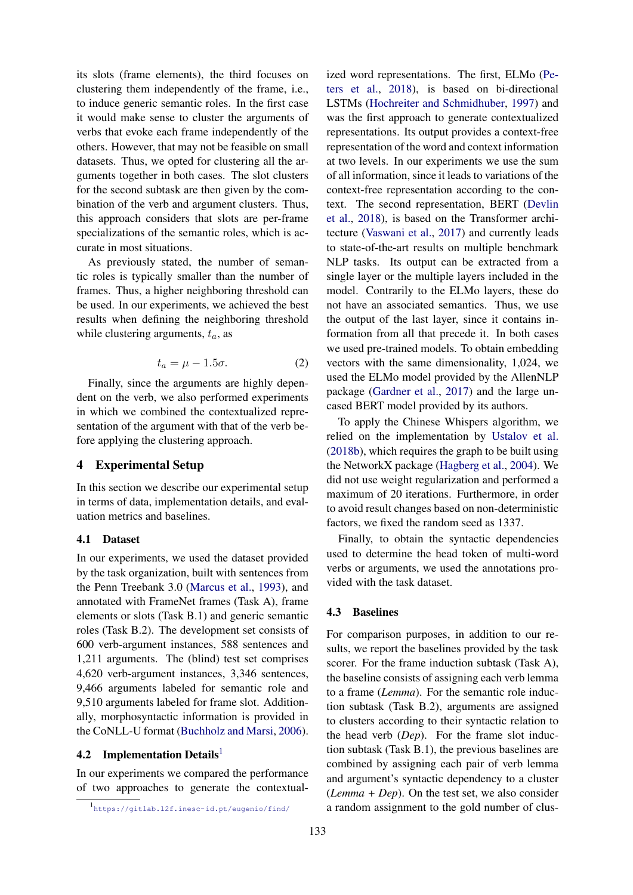its slots (frame elements), the third focuses on clustering them independently of the frame, i.e., to induce generic semantic roles. In the first case it would make sense to cluster the arguments of verbs that evoke each frame independently of the others. However, that may not be feasible on small datasets. Thus, we opted for clustering all the arguments together in both cases. The slot clusters for the second subtask are then given by the combination of the verb and argument clusters. Thus, this approach considers that slots are per-frame specializations of the semantic roles, which is accurate in most situations.

As previously stated, the number of semantic roles is typically smaller than the number of frames. Thus, a higher neighboring threshold can be used. In our experiments, we achieved the best results when defining the neighboring threshold while clustering arguments,  $t_a$ , as

$$
t_a = \mu - 1.5\sigma. \tag{2}
$$

Finally, since the arguments are highly dependent on the verb, we also performed experiments in which we combined the contextualized representation of the argument with that of the verb before applying the clustering approach.

## <span id="page-3-0"></span>4 Experimental Setup

In this section we describe our experimental setup in terms of data, implementation details, and evaluation metrics and baselines.

# 4.1 Dataset

In our experiments, we used the dataset provided by the task organization, built with sentences from the Penn Treebank 3.0 [\(Marcus et al.,](#page-6-18) [1993\)](#page-6-18), and annotated with FrameNet frames (Task A), frame elements or slots (Task B.1) and generic semantic roles (Task B.2). The development set consists of 600 verb-argument instances, 588 sentences and 1,211 arguments. The (blind) test set comprises 4,620 verb-argument instances, 3,346 sentences, 9,466 arguments labeled for semantic role and 9,510 arguments labeled for frame slot. Additionally, morphosyntactic information is provided in the CoNLL-U format [\(Buchholz and Marsi,](#page-6-19) [2006\)](#page-6-19).

# 4.2 Implementation Details<sup>[1](#page-3-1)</sup>

In our experiments we compared the performance of two approaches to generate the contextual-

ized word representations. The first, ELMo [\(Pe](#page-6-7)[ters et al.,](#page-6-7) [2018\)](#page-6-7), is based on bi-directional LSTMs [\(Hochreiter and Schmidhuber,](#page-6-20) [1997\)](#page-6-20) and was the first approach to generate contextualized representations. Its output provides a context-free representation of the word and context information at two levels. In our experiments we use the sum of all information, since it leads to variations of the context-free representation according to the context. The second representation, BERT [\(Devlin](#page-6-9) [et al.,](#page-6-9) [2018\)](#page-6-9), is based on the Transformer architecture [\(Vaswani et al.,](#page-6-21) [2017\)](#page-6-21) and currently leads to state-of-the-art results on multiple benchmark NLP tasks. Its output can be extracted from a single layer or the multiple layers included in the model. Contrarily to the ELMo layers, these do not have an associated semantics. Thus, we use the output of the last layer, since it contains information from all that precede it. In both cases we used pre-trained models. To obtain embedding vectors with the same dimensionality, 1,024, we used the ELMo model provided by the AllenNLP package [\(Gardner et al.,](#page-6-22) [2017\)](#page-6-22) and the large uncased BERT model provided by its authors.

To apply the Chinese Whispers algorithm, we relied on the implementation by [Ustalov et al.](#page-6-23) [\(2018b\)](#page-6-23), which requires the graph to be built using the NetworkX package [\(Hagberg et al.,](#page-6-24) [2004\)](#page-6-24). We did not use weight regularization and performed a maximum of 20 iterations. Furthermore, in order to avoid result changes based on non-deterministic factors, we fixed the random seed as 1337.

Finally, to obtain the syntactic dependencies used to determine the head token of multi-word verbs or arguments, we used the annotations provided with the task dataset.

## 4.3 Baselines

For comparison purposes, in addition to our results, we report the baselines provided by the task scorer. For the frame induction subtask (Task A), the baseline consists of assigning each verb lemma to a frame (*Lemma*). For the semantic role induction subtask (Task B.2), arguments are assigned to clusters according to their syntactic relation to the head verb (*Dep*). For the frame slot induction subtask (Task B.1), the previous baselines are combined by assigning each pair of verb lemma and argument's syntactic dependency to a cluster (*Lemma + Dep*). On the test set, we also consider a random assignment to the gold number of clus-

<span id="page-3-1"></span><sup>1</sup> <https://gitlab.l2f.inesc-id.pt/eugenio/find/>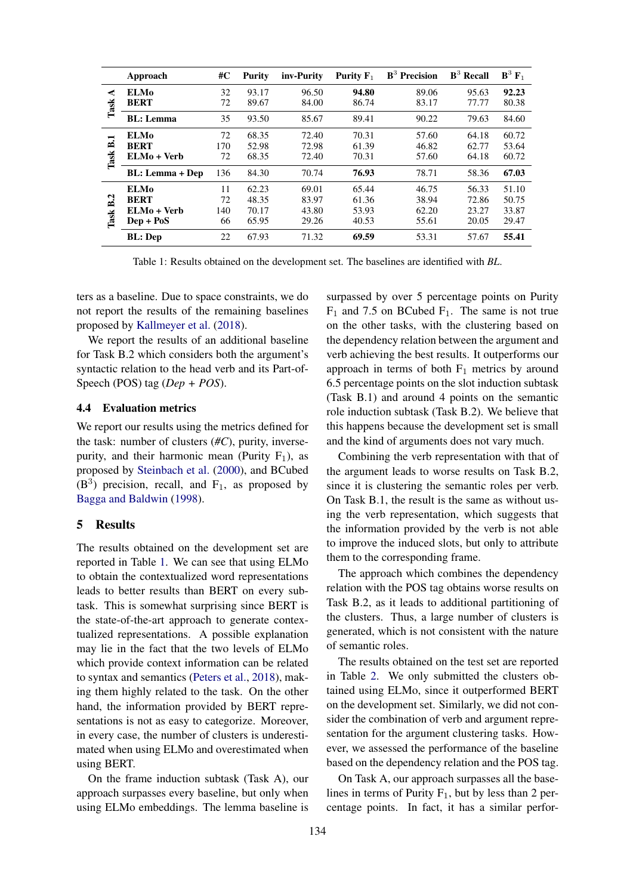|                | Approach               | #C  | <b>Purity</b> | inv-Purity | Purity $F_1$ | $B3$ Precision | $B3$ Recall | $\mathbf{B}^3 \mathbf{F}_1$ |
|----------------|------------------------|-----|---------------|------------|--------------|----------------|-------------|-----------------------------|
| ⋖<br>Task      | <b>ELMo</b>            | 32  | 93.17         | 96.50      | 94.80        | 89.06          | 95.63       | 92.23                       |
|                | <b>BERT</b>            | 72  | 89.67         | 84.00      | 86.74        | 83.17          | 77.77       | 80.38                       |
|                | <b>BL:</b> Lemma       | 35  | 93.50         | 85.67      | 89.41        | 90.22          | 79.63       | 84.60                       |
| −<br>≏<br>Task | <b>ELMo</b>            | 72  | 68.35         | 72.40      | 70.31        | 57.60          | 64.18       | 60.72                       |
|                | <b>BERT</b>            | 170 | 52.98         | 72.98      | 61.39        | 46.82          | 62.77       | 53.64                       |
|                | ELMo + Verb            | 72  | 68.35         | 72.40      | 70.31        | 57.60          | 64.18       | 60.72                       |
|                | <b>BL:</b> Lemma + Dep | 136 | 84.30         | 70.74      | 76.93        | 78.71          | 58.36       | 67.03                       |
| B.2<br>Task    | <b>ELMo</b>            | 11  | 62.23         | 69.01      | 65.44        | 46.75          | 56.33       | 51.10                       |
|                | <b>BERT</b>            | 72  | 48.35         | 83.97      | 61.36        | 38.94          | 72.86       | 50.75                       |
|                | $ELMo + Verb$          | 140 | 70.17         | 43.80      | 53.93        | 62.20          | 23.27       | 33.87                       |
|                | $Dep + PoS$            | 66  | 65.95         | 29.26      | 40.53        | 55.61          | 20.05       | 29.47                       |
|                | <b>BL</b> : Dep        | 22  | 67.93         | 71.32      | 69.59        | 53.31          | 57.67       | 55.41                       |

Table 1: Results obtained on the development set. The baselines are identified with *BL*.

ters as a baseline. Due to space constraints, we do not report the results of the remaining baselines proposed by [Kallmeyer et al.](#page-6-25) [\(2018\)](#page-6-25).

We report the results of an additional baseline for Task B.2 which considers both the argument's syntactic relation to the head verb and its Part-of-Speech (POS) tag (*Dep + POS*).

#### 4.4 Evaluation metrics

We report our results using the metrics defined for the task: number of clusters (*#C*), purity, inversepurity, and their harmonic mean (Purity  $F_1$ ), as proposed by [Steinbach et al.](#page-6-26) [\(2000\)](#page-6-26), and BCubed  $(B<sup>3</sup>)$  precision, recall, and F<sub>1</sub>, as proposed by [Bagga and Baldwin](#page-6-27) [\(1998\)](#page-6-27).

## <span id="page-4-0"></span>5 Results

The results obtained on the development set are reported in Table [1.](#page-4-1) We can see that using ELMo to obtain the contextualized word representations leads to better results than BERT on every subtask. This is somewhat surprising since BERT is the state-of-the-art approach to generate contextualized representations. A possible explanation may lie in the fact that the two levels of ELMo which provide context information can be related to syntax and semantics [\(Peters et al.,](#page-6-7) [2018\)](#page-6-7), making them highly related to the task. On the other hand, the information provided by BERT representations is not as easy to categorize. Moreover, in every case, the number of clusters is underestimated when using ELMo and overestimated when using BERT.

On the frame induction subtask (Task A), our approach surpasses every baseline, but only when using ELMo embeddings. The lemma baseline is

<span id="page-4-1"></span>surpassed by over 5 percentage points on Purity  $F_1$  and 7.5 on BCubed  $F_1$ . The same is not true on the other tasks, with the clustering based on the dependency relation between the argument and verb achieving the best results. It outperforms our approach in terms of both  $F_1$  metrics by around 6.5 percentage points on the slot induction subtask (Task B.1) and around 4 points on the semantic role induction subtask (Task B.2). We believe that this happens because the development set is small and the kind of arguments does not vary much.

Combining the verb representation with that of the argument leads to worse results on Task B.2, since it is clustering the semantic roles per verb. On Task B.1, the result is the same as without using the verb representation, which suggests that the information provided by the verb is not able to improve the induced slots, but only to attribute them to the corresponding frame.

The approach which combines the dependency relation with the POS tag obtains worse results on Task B.2, as it leads to additional partitioning of the clusters. Thus, a large number of clusters is generated, which is not consistent with the nature of semantic roles.

The results obtained on the test set are reported in Table [2.](#page-5-1) We only submitted the clusters obtained using ELMo, since it outperformed BERT on the development set. Similarly, we did not consider the combination of verb and argument representation for the argument clustering tasks. However, we assessed the performance of the baseline based on the dependency relation and the POS tag.

On Task A, our approach surpasses all the baselines in terms of Purity  $F_1$ , but by less than 2 percentage points. In fact, it has a similar perfor-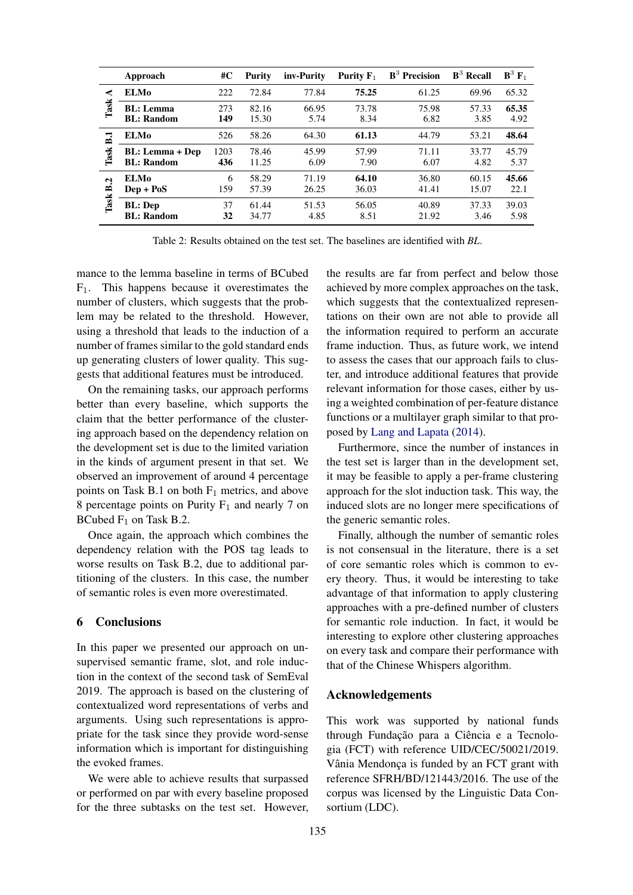|                           | Approach                                    | #C          | <b>Purity</b>  | inv-Purity     | Purity $F_1$   | $B3$ Precision | $B^3$ Recall   | $\mathbf{B}^3 \mathbf{F}_1$ |
|---------------------------|---------------------------------------------|-------------|----------------|----------------|----------------|----------------|----------------|-----------------------------|
| ⋖<br>Task                 | <b>ELMo</b>                                 | 222         | 72.84          | 77.84          | 75.25          | 61.25          | 69.96          | 65.32                       |
|                           | <b>BL:</b> Lemma<br><b>BL:</b> Random       | 273<br>149  | 82.16<br>15.30 | 66.95<br>5.74  | 73.78<br>8.34  | 75.98<br>6.82  | 57.33<br>3.85  | 65.35<br>4.92               |
| ℸ<br>m<br>Task            | <b>ELMo</b>                                 | 526         | 58.26          | 64.30          | 61.13          | 44.79          | 53.21          | 48.64                       |
|                           | <b>BL:</b> Lemma + Dep<br><b>BL:</b> Random | 1203<br>436 | 78.46<br>11.25 | 45.99<br>6.09  | 57.99<br>7.90  | 71.11<br>6.07  | 33.77<br>4.82  | 45.79<br>5.37               |
| Ņ<br>$\mathbf{r}$<br>Task | <b>ELMo</b><br>$Dep + PoS$                  | 6<br>159    | 58.29<br>57.39 | 71.19<br>26.25 | 64.10<br>36.03 | 36.80<br>41.41 | 60.15<br>15.07 | 45.66<br>22.1               |
|                           | <b>BL</b> : Dep<br><b>BL:</b> Random        | 37<br>32    | 61.44<br>34.77 | 51.53<br>4.85  | 56.05<br>8.51  | 40.89<br>21.92 | 37.33<br>3.46  | 39.03<br>5.98               |

Table 2: Results obtained on the test set. The baselines are identified with *BL*.

mance to the lemma baseline in terms of BCubed  $F_1$ . This happens because it overestimates the number of clusters, which suggests that the problem may be related to the threshold. However, using a threshold that leads to the induction of a number of frames similar to the gold standard ends up generating clusters of lower quality. This suggests that additional features must be introduced.

On the remaining tasks, our approach performs better than every baseline, which supports the claim that the better performance of the clustering approach based on the dependency relation on the development set is due to the limited variation in the kinds of argument present in that set. We observed an improvement of around 4 percentage points on Task B.1 on both  $F_1$  metrics, and above 8 percentage points on Purity  $F_1$  and nearly 7 on BCubed  $F_1$  on Task B.2.

Once again, the approach which combines the dependency relation with the POS tag leads to worse results on Task B.2, due to additional partitioning of the clusters. In this case, the number of semantic roles is even more overestimated.

# <span id="page-5-0"></span>6 Conclusions

In this paper we presented our approach on unsupervised semantic frame, slot, and role induction in the context of the second task of SemEval 2019. The approach is based on the clustering of contextualized word representations of verbs and arguments. Using such representations is appropriate for the task since they provide word-sense information which is important for distinguishing the evoked frames.

We were able to achieve results that surpassed or performed on par with every baseline proposed for the three subtasks on the test set. However,

<span id="page-5-1"></span>the results are far from perfect and below those achieved by more complex approaches on the task, which suggests that the contextualized representations on their own are not able to provide all the information required to perform an accurate frame induction. Thus, as future work, we intend to assess the cases that our approach fails to cluster, and introduce additional features that provide relevant information for those cases, either by using a weighted combination of per-feature distance functions or a multilayer graph similar to that proposed by [Lang and Lapata](#page-6-13) [\(2014\)](#page-6-13).

Furthermore, since the number of instances in the test set is larger than in the development set, it may be feasible to apply a per-frame clustering approach for the slot induction task. This way, the induced slots are no longer mere specifications of the generic semantic roles.

Finally, although the number of semantic roles is not consensual in the literature, there is a set of core semantic roles which is common to every theory. Thus, it would be interesting to take advantage of that information to apply clustering approaches with a pre-defined number of clusters for semantic role induction. In fact, it would be interesting to explore other clustering approaches on every task and compare their performance with that of the Chinese Whispers algorithm.

# Acknowledgements

This work was supported by national funds through Fundação para a Ciência e a Tecnologia (FCT) with reference UID/CEC/50021/2019. Vânia Mendonça is funded by an FCT grant with reference SFRH/BD/121443/2016. The use of the corpus was licensed by the Linguistic Data Consortium (LDC).